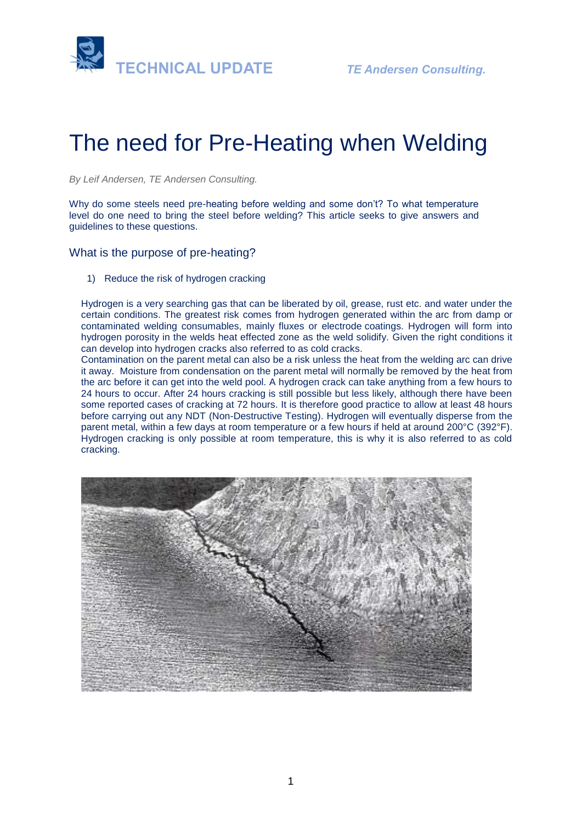



# The need for Pre-Heating when Welding

*By Leif Andersen, TE Andersen Consulting.* 

Why do some steels need pre-heating before welding and some don't? To what temperature level do one need to bring the steel before welding? This article seeks to give answers and guidelines to these questions.

What is the purpose of pre-heating?

1) Reduce the risk of hydrogen cracking

Hydrogen is a very searching gas that can be liberated by oil, grease, rust etc. and water under the certain conditions. The greatest risk comes from hydrogen generated within the arc from damp or contaminated welding consumables, mainly fluxes or electrode coatings. Hydrogen will form into hydrogen porosity in the welds heat effected zone as the weld solidify. Given the right conditions it can develop into hydrogen cracks also referred to as cold cracks.

Contamination on the parent metal can also be a risk unless the heat from the welding arc can drive it away. Moisture from condensation on the parent metal will normally be removed by the heat from the arc before it can get into the weld pool. A hydrogen crack can take anything from a few hours to 24 hours to occur. After 24 hours cracking is still possible but less likely, although there have been some reported cases of cracking at 72 hours. It is therefore good practice to allow at least 48 hours before carrying out any NDT (Non-Destructive Testing). Hydrogen will eventually disperse from the parent metal, within a few days at room temperature or a few hours if held at around 200°C (392°F). Hydrogen cracking is only possible at room temperature, this is why it is also referred to as cold cracking.

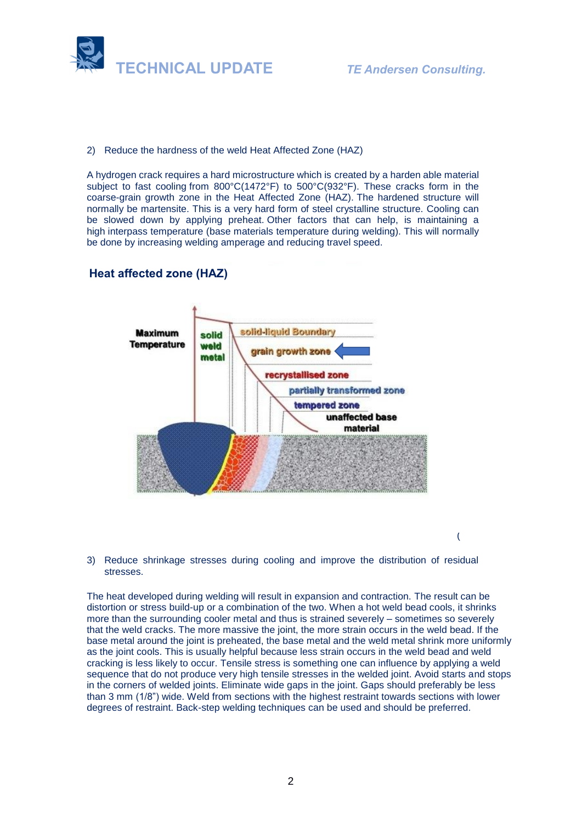

2) Reduce the hardness of the weld Heat Affected Zone (HAZ)

A hydrogen crack requires a hard microstructure which is created by a harden able material subject to fast cooling from 800°C(1472°F) to 500°C(932°F). These cracks form in the coarse-grain growth zone in the Heat Affected Zone (HAZ). The hardened structure will normally be martensite. This is a very [hard](https://en.wikipedia.org/wiki/Hardness) form of steel crystalline structure. Cooling can be slowed down by applying preheat. Other factors that can help, is maintaining a high interpass temperature (base materials temperature during welding). This will normally be done by increasing welding amperage and reducing travel speed.

## **Heat affected zone (HAZ)**



(

3) Reduce shrinkage stresses during cooling and improve the distribution of residual stresses.

The heat developed during welding will result in expansion and contraction. The result can be distortion or stress build-up or a combination of the two. When a hot weld bead cools, it shrinks more than the surrounding cooler metal and thus is strained severely – sometimes so severely that the weld cracks. The more massive the joint, the more strain occurs in the weld bead. If the base metal around the joint is preheated, the base metal and the weld metal shrink more uniformly as the joint cools. This is usually helpful because less strain occurs in the weld bead and weld cracking is less likely to occur. Tensile stress is something one can influence by applying a weld sequence that do not produce very high tensile stresses in the welded joint. Avoid starts and stops in the corners of welded joints. Eliminate wide gaps in the joint. Gaps should preferably be less than 3 mm (1/8") wide. Weld from sections with the highest restraint towards sections with lower degrees of restraint. Back-step welding techniques can be used and should be preferred.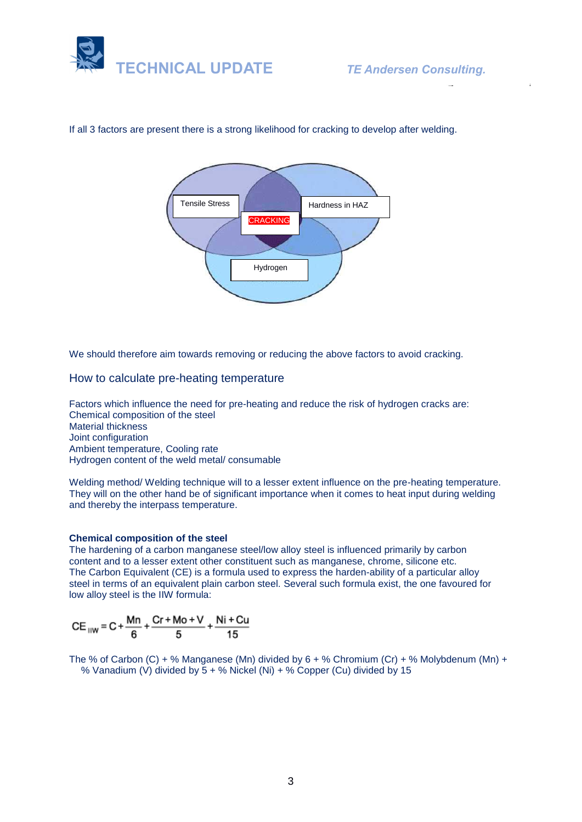



If all 3 factors are present there is a strong likelihood for cracking to develop after welding.

We should therefore aim towards removing or reducing the above factors to avoid cracking.

#### How to calculate pre-heating temperature

Factors which influence the need for pre-heating and reduce the risk of hydrogen cracks are: Chemical composition of the steel Material thickness Joint configuration Ambient temperature, Cooling rate Hydrogen content of the weld metal/ consumable

Welding method/ Welding technique will to a lesser extent influence on the pre-heating temperature. They will on the other hand be of significant importance when it comes to heat input during welding and thereby the interpass temperature.

#### **Chemical composition of the steel**

The hardening of a carbon manganese steel/low alloy steel is influenced primarily by carbon content and to a lesser extent other constituent such as manganese, chrome, silicone etc. The Carbon Equivalent (CE) is a formula used to express the harden-ability of a particular alloy steel in terms of an equivalent plain carbon steel. Several such formula exist, the one favoured for low alloy steel is the IIW formula:

$$
CE_{\text{IIW}} = C + \frac{Mn}{6} + \frac{Cr + Mo + V}{5} + \frac{Ni + Cu}{15}
$$

The % of Carbon (C) + % Manganese (Mn) divided by  $6 +$  % Chromium (Cr) + % Molybdenum (Mn) + % Vanadium (V) divided by  $5 +$  % Nickel (Ni) + % Copper (Cu) divided by 15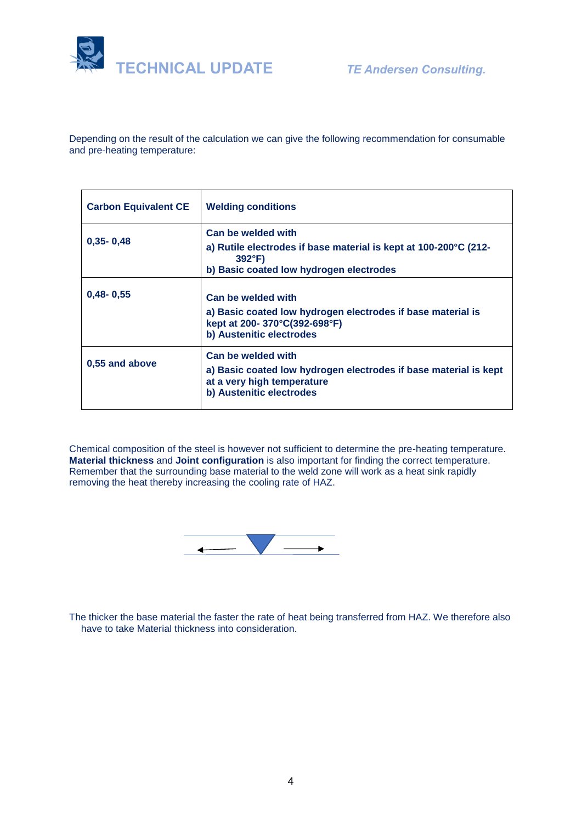

Depending on the result of the calculation we can give the following recommendation for consumable and pre-heating temperature:

| <b>Carbon Equivalent CE</b> | <b>Welding conditions</b>                                                                                                                           |
|-----------------------------|-----------------------------------------------------------------------------------------------------------------------------------------------------|
| $0,35 - 0,48$               | Can be welded with<br>a) Rutile electrodes if base material is kept at 100-200°C (212-<br>$392^{\circ}F$<br>b) Basic coated low hydrogen electrodes |
| $0,48 - 0,55$               | Can be welded with<br>a) Basic coated low hydrogen electrodes if base material is<br>kept at 200-370°C(392-698°F)<br>b) Austenitic electrodes       |
| 0.55 and above              | Can be welded with<br>a) Basic coated low hydrogen electrodes if base material is kept<br>at a very high temperature<br>b) Austenitic electrodes    |

Chemical composition of the steel is however not sufficient to determine the pre-heating temperature. **Material thickness** and **Joint configuration** is also important for finding the correct temperature. Remember that the surrounding base material to the weld zone will work as a heat sink rapidly removing the heat thereby increasing the cooling rate of HAZ.



The thicker the base material the faster the rate of heat being transferred from HAZ. We therefore also have to take Material thickness into consideration.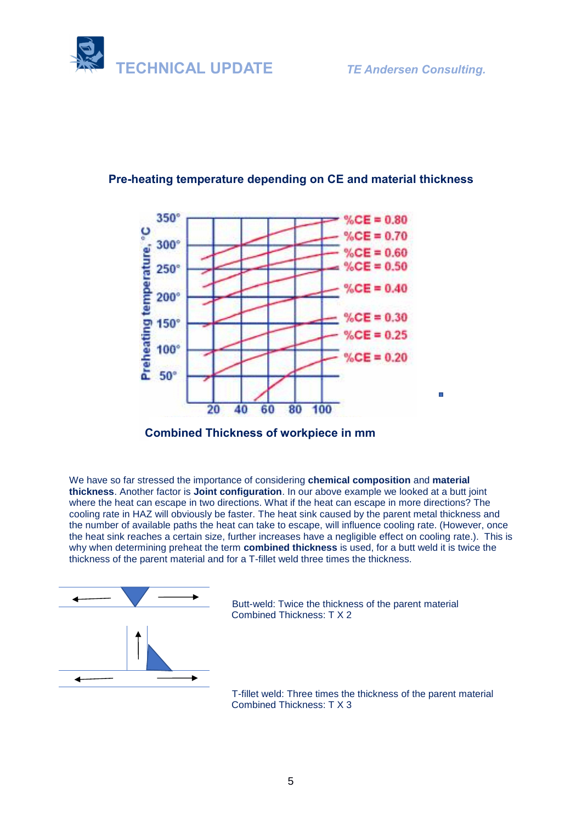



## **Pre-heating temperature depending on CE and material thickness**



We have so far stressed the importance of considering **chemical composition** and **material thickness**. Another factor is **Joint configuration**. In our above example we looked at a butt joint where the heat can escape in two directions. What if the heat can escape in more directions? The cooling rate in HAZ will obviously be faster. The heat sink caused by the parent metal thickness and the number of available paths the heat can take to escape, will influence cooling rate. (However, once the heat sink reaches a certain size, further increases have a negligible effect on cooling rate.). This is why when determining preheat the term **combined thickness** is used, for a butt weld it is twice the thickness of the parent material and for a T-fillet weld three times the thickness.



 Butt-weld: Twice the thickness of the parent material Combined Thickness: T X 2

 T-fillet weld: Three times the thickness of the parent material Combined Thickness: T X 3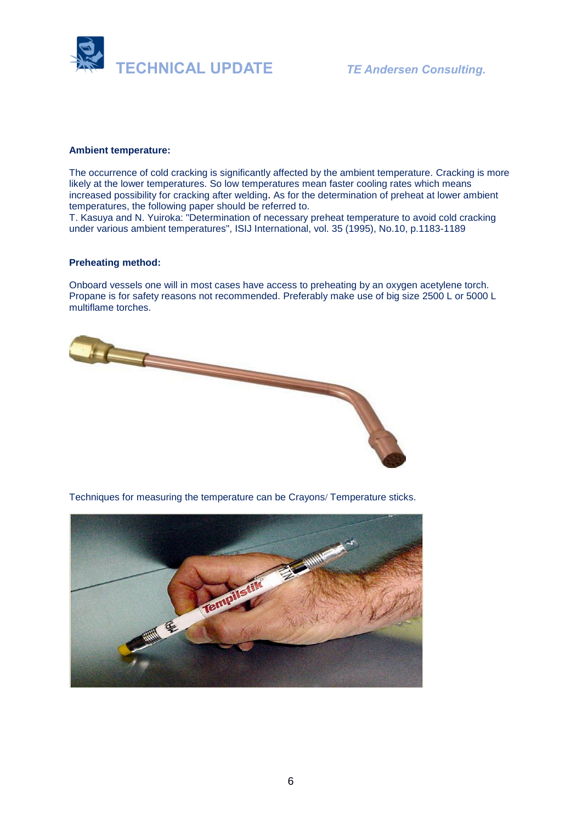

#### **Ambient temperature:**

The occurrence of cold cracking is significantly affected by the ambient temperature. Cracking is more likely at the lower temperatures. So low temperatures mean faster cooling rates which means increased possibility for cracking after welding. As for the determination of preheat at lower ambient temperatures, the following paper should be referred to.

T. Kasuya and N. Yuiroka: "Determination of necessary preheat temperature to avoid cold cracking under various ambient temperatures", ISIJ International, vol. 35 (1995), No.10, p.1183-1189

#### **Preheating method:**

Onboard vessels one will in most cases have access to preheating by an oxygen acetylene torch. Propane is for safety reasons not recommended. Preferably make use of big size 2500 L or 5000 L multiflame torches.



Techniques for measuring the temperature can be Crayons/ Temperature sticks.

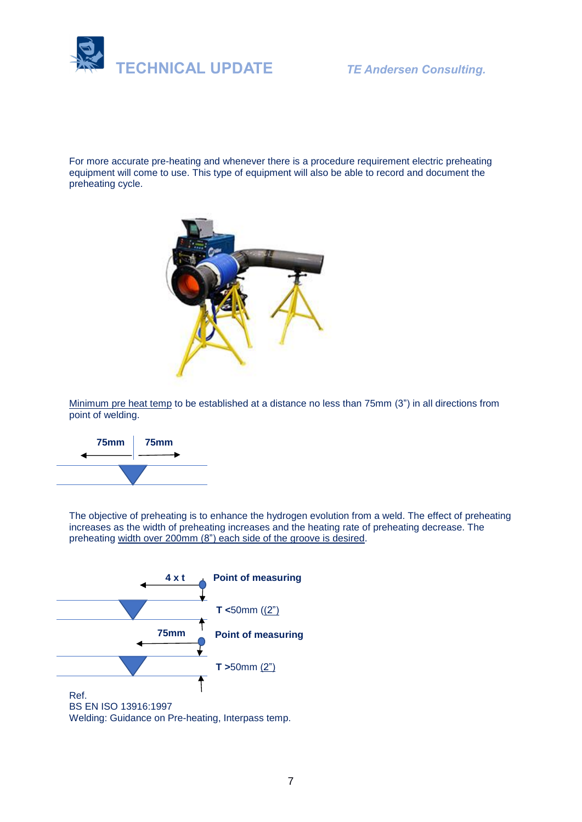

For more accurate pre-heating and whenever there is a procedure requirement electric preheating equipment will come to use. This type of equipment will also be able to record and document the preheating cycle.



Minimum pre heat temp to be established at a distance no less than 75mm (3") in all directions from point of welding.



The objective of preheating is to enhance the hydrogen evolution from a weld. The effect of preheating increases as the width of preheating increases and the heating rate of preheating decrease. The preheating width over 200mm (8") each side of the groove is desired.

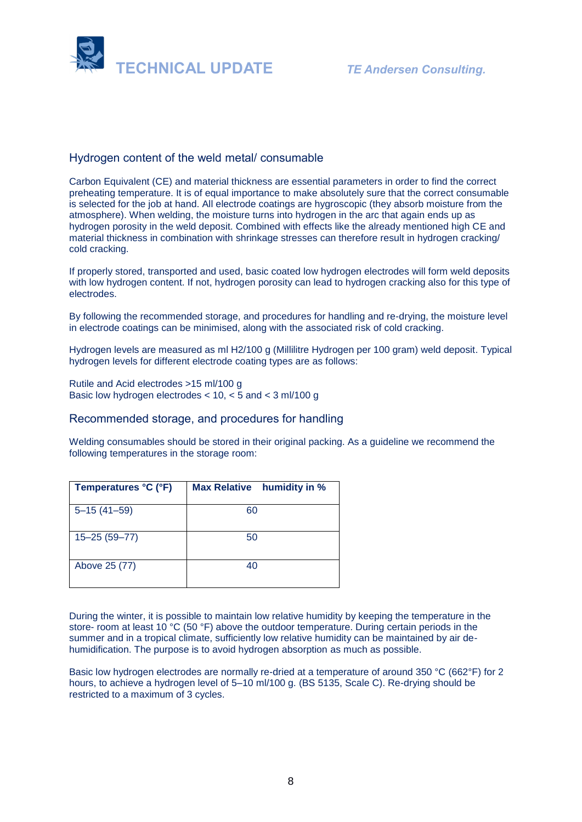

## Hydrogen content of the weld metal/ consumable

Carbon Equivalent (CE) and material thickness are essential parameters in order to find the correct preheating temperature. It is of equal importance to make absolutely sure that the correct consumable is selected for the job at hand. All electrode coatings are hygroscopic (they absorb moisture from the atmosphere). When welding, the moisture turns into hydrogen in the arc that again ends up as hydrogen porosity in the weld deposit. Combined with effects like the already mentioned high CE and material thickness in combination with shrinkage stresses can therefore result in hydrogen cracking/ cold cracking.

If properly stored, transported and used, basic coated low hydrogen electrodes will form weld deposits with low hydrogen content. If not, hydrogen porosity can lead to hydrogen cracking also for this type of electrodes.

By following the recommended storage, and procedures for handling and re-drying, the moisture level in electrode coatings can be minimised, along with the associated risk of cold cracking.

Hydrogen levels are measured as ml H2/100 g (Millilitre Hydrogen per 100 gram) weld deposit. Typical hydrogen levels for different electrode coating types are as follows:

Rutile and Acid electrodes >15 ml/100 g Basic low hydrogen electrodes < 10, < 5 and < 3 ml/100 g

### Recommended storage, and procedures for handling

Welding consumables should be stored in their original packing. As a guideline we recommend the following temperatures in the storage room:

| Temperatures °C (°F) | <b>Max Relative</b><br>humidity in % |
|----------------------|--------------------------------------|
| $5 - 15(41 - 59)$    | 60                                   |
| $15 - 25(59 - 77)$   | 50                                   |
| Above 25 (77)        | 40                                   |

During the winter, it is possible to maintain low relative humidity by keeping the temperature in the store- room at least 10 °C (50 °F) above the outdoor temperature. During certain periods in the summer and in a tropical climate, sufficiently low relative humidity can be maintained by air dehumidification. The purpose is to avoid hydrogen absorption as much as possible.

Basic low hydrogen electrodes are normally re-dried at a temperature of around 350 °C (662°F) for 2 hours, to achieve a hydrogen level of 5–10 ml/100 g. (BS 5135, Scale C). Re-drying should be restricted to a maximum of 3 cycles.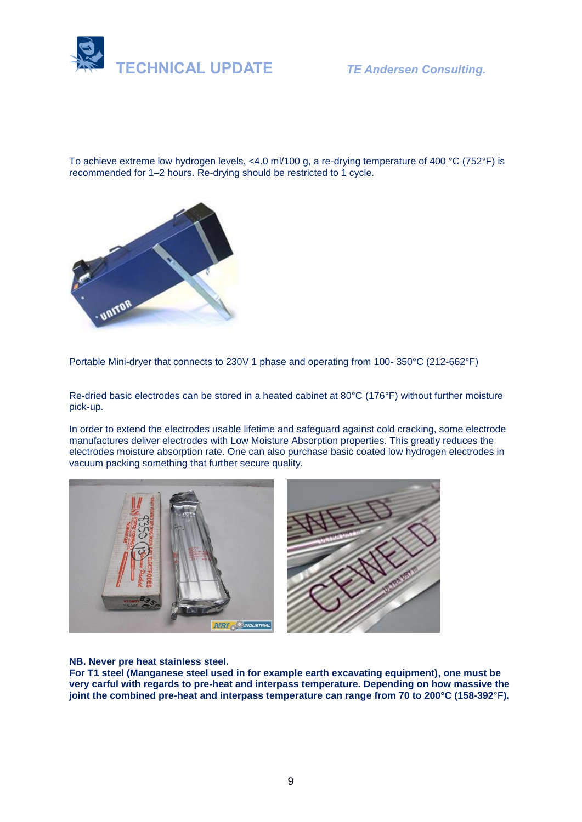

To achieve extreme low hydrogen levels, <4.0 ml/100 g, a re-drying temperature of 400 °C (752°F) is recommended for 1–2 hours. Re-drying should be restricted to 1 cycle.



Portable Mini-dryer that connects to 230V 1 phase and operating from 100- 350°C (212-662°F)

Re-dried basic electrodes can be stored in a heated cabinet at 80°C (176°F) without further moisture pick-up.

In order to extend the electrodes usable lifetime and safeguard against cold cracking, some electrode manufactures deliver electrodes with Low Moisture Absorption properties. This greatly reduces the electrodes moisture absorption rate. One can also purchase basic coated low hydrogen electrodes in vacuum packing something that further secure quality.



**NB. Never pre heat stainless steel.** 

**For T1 steel (Manganese steel used in for example earth excavating equipment), one must be very carful with regards to pre-heat and interpass temperature. Depending on how massive the joint the combined pre-heat and interpass temperature can range from 70 to 200°C (158-392**°F**).**